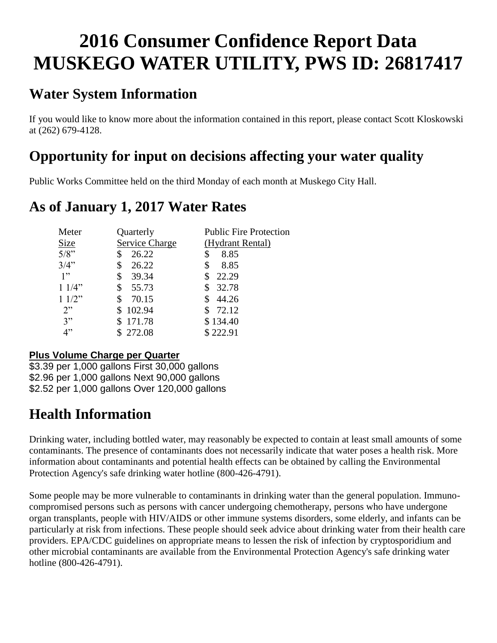# **2016 Consumer Confidence Report Data MUSKEGO WATER UTILITY, PWS ID: 26817417**

# **Water System Information**

If you would like to know more about the information contained in this report, please contact Scott Kloskowski at (262) 679-4128.

# **Opportunity for input on decisions affecting your water quality**

Public Works Committee held on the third Monday of each month at Muskego City Hall.

### **As of January 1, 2017 Water Rates**

| Meter       | Quarterly      | <b>Public Fire Protection</b> |
|-------------|----------------|-------------------------------|
| <b>Size</b> | Service Charge | (Hydrant Rental)              |
| 5/8"        | 26.22          | 8.85<br>\$                    |
| 3/4"        | 26.22<br>\$    | 8.85<br>\$                    |
| 1"          | 39.34<br>\$    | 22.29                         |
| 11/4"       | \$<br>55.73    | 32.78                         |
| 11/2"       | \$<br>70.15    | 44.26                         |
| 2"          | 102.94         | 72.12                         |
| 3"          | 171.78         | \$134.40                      |
| 4"          | 272.08         | \$222.91                      |

#### **Plus Volume Charge per Quarter**

\$3.39 per 1,000 gallons First 30,000 gallons \$2.96 per 1,000 gallons Next 90,000 gallons \$2.52 per 1,000 gallons Over 120,000 gallons

# **Health Information**

Drinking water, including bottled water, may reasonably be expected to contain at least small amounts of some contaminants. The presence of contaminants does not necessarily indicate that water poses a health risk. More information about contaminants and potential health effects can be obtained by calling the Environmental Protection Agency's safe drinking water hotline (800-426-4791).

Some people may be more vulnerable to contaminants in drinking water than the general population. Immunocompromised persons such as persons with cancer undergoing chemotherapy, persons who have undergone organ transplants, people with HIV/AIDS or other immune systems disorders, some elderly, and infants can be particularly at risk from infections. These people should seek advice about drinking water from their health care providers. EPA/CDC guidelines on appropriate means to lessen the risk of infection by cryptosporidium and other microbial contaminants are available from the Environmental Protection Agency's safe drinking water hotline (800-426-4791).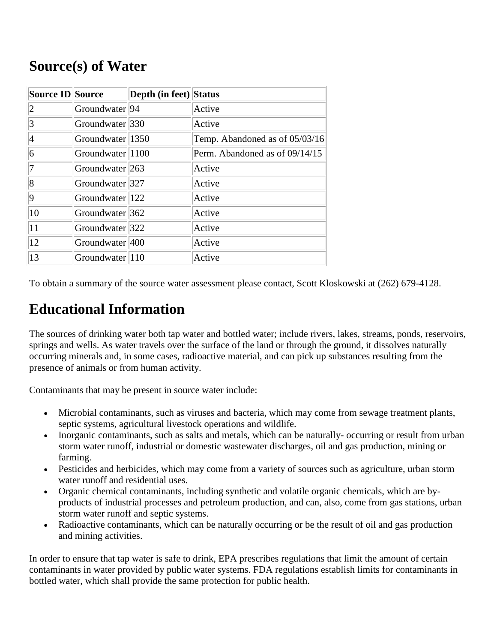### **Source(s) of Water**

| <b>Source ID Source</b> |                             | Depth (in feet) Status |                                |
|-------------------------|-----------------------------|------------------------|--------------------------------|
| $ 2 \>$                 | Groundwater <sup>[94]</sup> |                        | Active                         |
| 3                       | Groundwater 330             |                        | Active                         |
| 4                       | Groundwater 1350            |                        | Temp. Abandoned as of 05/03/16 |
| 6                       | Groundwater 1100            |                        | Perm. Abandoned as of 09/14/15 |
| 17                      | Groundwater 263             |                        | Active                         |
| 8                       | Groundwater 327             |                        | Active                         |
| 9                       | Groundwater 122             |                        | Active                         |
| 10                      | Groundwater 362             |                        | Active                         |
| 11                      | Groundwater 322             |                        | Active                         |
| 12                      | Groundwater 400             |                        | Active                         |
| 13                      | Groundwater 110             |                        | Active                         |

To obtain a summary of the source water assessment please contact, Scott Kloskowski at (262) 679-4128.

# **Educational Information**

The sources of drinking water both tap water and bottled water; include rivers, lakes, streams, ponds, reservoirs, springs and wells. As water travels over the surface of the land or through the ground, it dissolves naturally occurring minerals and, in some cases, radioactive material, and can pick up substances resulting from the presence of animals or from human activity.

Contaminants that may be present in source water include:

- Microbial contaminants, such as viruses and bacteria, which may come from sewage treatment plants, septic systems, agricultural livestock operations and wildlife.
- Inorganic contaminants, such as salts and metals, which can be naturally- occurring or result from urban storm water runoff, industrial or domestic wastewater discharges, oil and gas production, mining or farming.
- Pesticides and herbicides, which may come from a variety of sources such as agriculture, urban storm water runoff and residential uses.
- Organic chemical contaminants, including synthetic and volatile organic chemicals, which are byproducts of industrial processes and petroleum production, and can, also, come from gas stations, urban storm water runoff and septic systems.
- Radioactive contaminants, which can be naturally occurring or be the result of oil and gas production and mining activities.

In order to ensure that tap water is safe to drink, EPA prescribes regulations that limit the amount of certain contaminants in water provided by public water systems. FDA regulations establish limits for contaminants in bottled water, which shall provide the same protection for public health.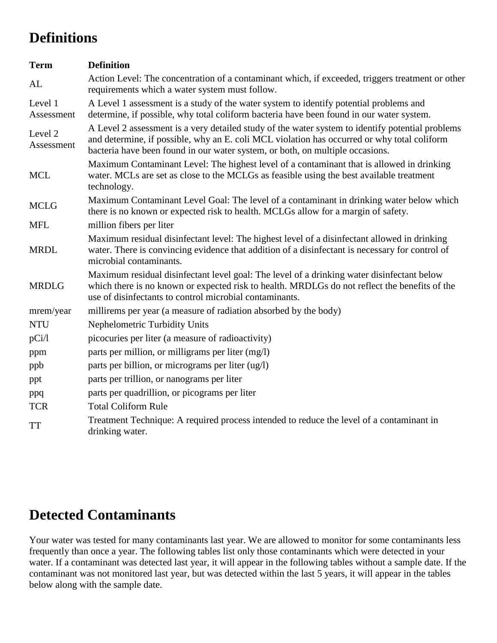# **Definitions**

| <b>Term</b>           | <b>Definition</b>                                                                                                                                                                                                                                                                |
|-----------------------|----------------------------------------------------------------------------------------------------------------------------------------------------------------------------------------------------------------------------------------------------------------------------------|
| AL                    | Action Level: The concentration of a contaminant which, if exceeded, triggers treatment or other<br>requirements which a water system must follow.                                                                                                                               |
| Level 1<br>Assessment | A Level 1 assessment is a study of the water system to identify potential problems and<br>determine, if possible, why total coliform bacteria have been found in our water system.                                                                                               |
| Level 2<br>Assessment | A Level 2 assessment is a very detailed study of the water system to identify potential problems<br>and determine, if possible, why an E. coli MCL violation has occurred or why total coliform<br>bacteria have been found in our water system, or both, on multiple occasions. |
| <b>MCL</b>            | Maximum Contaminant Level: The highest level of a contaminant that is allowed in drinking<br>water. MCLs are set as close to the MCLGs as feasible using the best available treatment<br>technology.                                                                             |
| <b>MCLG</b>           | Maximum Contaminant Level Goal: The level of a contaminant in drinking water below which<br>there is no known or expected risk to health. MCLGs allow for a margin of safety.                                                                                                    |
| <b>MFL</b>            | million fibers per liter                                                                                                                                                                                                                                                         |
| <b>MRDL</b>           | Maximum residual disinfectant level: The highest level of a disinfectant allowed in drinking<br>water. There is convincing evidence that addition of a disinfectant is necessary for control of<br>microbial contaminants.                                                       |
| <b>MRDLG</b>          | Maximum residual disinfectant level goal: The level of a drinking water disinfectant below<br>which there is no known or expected risk to health. MRDLGs do not reflect the benefits of the<br>use of disinfectants to control microbial contaminants.                           |
| mrem/year             | millirems per year (a measure of radiation absorbed by the body)                                                                                                                                                                                                                 |
| <b>NTU</b>            | Nephelometric Turbidity Units                                                                                                                                                                                                                                                    |
| pCi/1                 | picocuries per liter (a measure of radioactivity)                                                                                                                                                                                                                                |
| ppm                   | parts per million, or milligrams per liter (mg/l)                                                                                                                                                                                                                                |
| ppb                   | parts per billion, or micrograms per liter (ug/l)                                                                                                                                                                                                                                |
| ppt                   | parts per trillion, or nanograms per liter                                                                                                                                                                                                                                       |
| ppq                   | parts per quadrillion, or picograms per liter                                                                                                                                                                                                                                    |
| <b>TCR</b>            | <b>Total Coliform Rule</b>                                                                                                                                                                                                                                                       |
| <b>TT</b>             | Treatment Technique: A required process intended to reduce the level of a contaminant in<br>drinking water.                                                                                                                                                                      |

### **Detected Contaminants**

Your water was tested for many contaminants last year. We are allowed to monitor for some contaminants less frequently than once a year. The following tables list only those contaminants which were detected in your water. If a contaminant was detected last year, it will appear in the following tables without a sample date. If the contaminant was not monitored last year, but was detected within the last 5 years, it will appear in the tables below along with the sample date.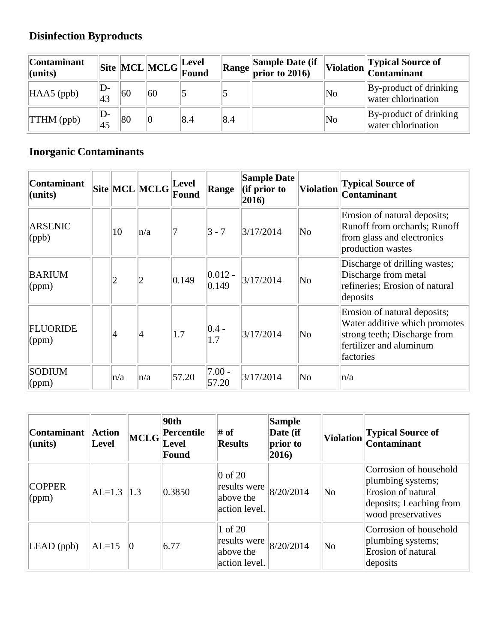# **Disinfection Byproducts**

| Contaminant<br>$l$ (units) |       |    | $\begin{array}{ l } \hline \textbf{Site} & \textbf{MCL} & \textbf{MCLG} \\ \hline \textbf{Found} & \textbf{Found} \end{array}$ |     | <b>Range Sample Date (if prior to 2016)</b> |    | Violation Typical Source of                  |
|----------------------------|-------|----|--------------------------------------------------------------------------------------------------------------------------------|-----|---------------------------------------------|----|----------------------------------------------|
| $HAAS$ (ppb)               | D-    | 60 | 60                                                                                                                             |     |                                             | No | By-product of drinking<br>water chlorination |
| <b>TTHM</b> (ppb)          | II )- | 80 | $ 0\>$                                                                                                                         | 8.4 |                                             | No | By-product of drinking<br>water chlorination |

### **Inorganic Contaminants**

| <b>Contaminant</b><br>$ $ (units) |                 | Site MCL MCLG   | <b>Level</b><br>Found | Range               | <b>Sample Date</b><br>$\left  \text{ (if prior to }\right.$<br>$ 2016\rangle$ | <b>Violation</b>       | <b>Typical Source of</b><br><b>Contaminant</b>                                                                                        |
|-----------------------------------|-----------------|-----------------|-----------------------|---------------------|-------------------------------------------------------------------------------|------------------------|---------------------------------------------------------------------------------------------------------------------------------------|
| <b>ARSENIC</b><br>$\phi$          | 10              | n/a             |                       | $3 - 7$             | 3/17/2014                                                                     | $\overline{\text{No}}$ | Erosion of natural deposits;<br>Runoff from orchards; Runoff<br>from glass and electronics<br>production wastes                       |
| <b>BARIUM</b><br>(ppm)            | $\overline{2}$  | $\overline{2}$  | 0.149                 | $ 0.012 -$<br>0.149 | 3/17/2014                                                                     | $\overline{\text{No}}$ | Discharge of drilling wastes;<br>Discharge from metal<br>refineries; Erosion of natural<br>deposits                                   |
| <b>FLUORIDE</b><br>(ppm)          | $\vert 4 \vert$ | $\vert 4 \vert$ | 1.7                   | $ 0.4 -$<br>1.7     | 3/17/2014                                                                     | $\overline{\text{No}}$ | Erosion of natural deposits;<br>Water additive which promotes<br>strong teeth; Discharge from<br>fertilizer and aluminum<br>factories |
| <b>SODIUM</b><br>$\gamma$ (ppm)   | n/a             | n/a             | 57.20                 | $ 7.00 -$<br>57.20  | 3/17/2014                                                                     | $\overline{\text{No}}$ | n/a                                                                                                                                   |

| <b>Contaminant</b><br>$l$ (units) | <b>Action</b><br><b>Level</b> | <b>MCLG</b> | 90 <sub>th</sub><br>Percentile<br>Level<br>Found | # of<br><b>Results</b>                                  | Sample<br>Date (if<br>prior to<br>2016) | Violation              | <b>Typical Source of</b><br><b>Contaminant</b>                                                                     |
|-----------------------------------|-------------------------------|-------------|--------------------------------------------------|---------------------------------------------------------|-----------------------------------------|------------------------|--------------------------------------------------------------------------------------------------------------------|
| <b>COPPER</b><br>(ppm)            | $AL=1.3$                      | 1.3         | 0.3850                                           | $0$ of 20<br>results were<br>above the<br>action level. | 8/20/2014                               | $\overline{\text{No}}$ | Corrosion of household<br>plumbing systems;<br>Erosion of natural<br>deposits; Leaching from<br>wood preservatives |
| $LEAD$ (ppb)                      | $AL=15$                       | 10          | 6.77                                             | 1 of 20<br>results were<br>above the<br>action level.   | 8/20/2014                               | $\overline{\text{No}}$ | Corrosion of household<br>plumbing systems;<br>Erosion of natural<br>deposits                                      |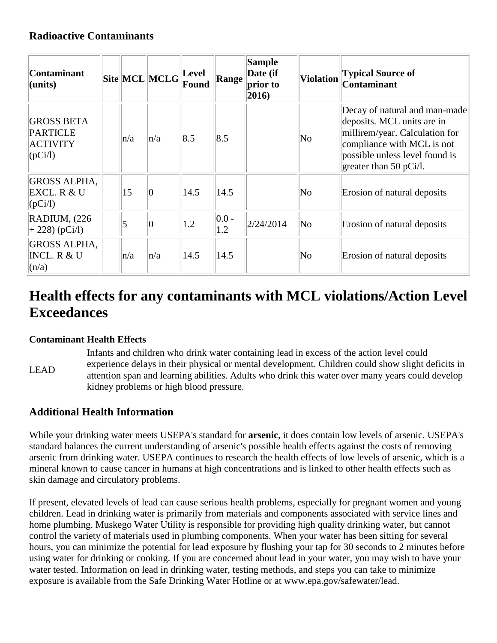### **Radioactive Contaminants**

| <b>Contaminant</b><br>(units)                                      |         | $\bf  Site  MCL  MCLG  Level$ | Found       | Range           | <b>Sample</b><br>Date (if<br>prior to<br>$ 2016\rangle$ | <b>Violation</b>       | <b>Typical Source of</b><br>Contaminant                                                                                                                                                 |
|--------------------------------------------------------------------|---------|-------------------------------|-------------|-----------------|---------------------------------------------------------|------------------------|-----------------------------------------------------------------------------------------------------------------------------------------------------------------------------------------|
| <b>GROSS BETA</b><br><b>PARTICLE</b><br><b>ACTIVITY</b><br>(pCi/l) | $\ln/a$ | $\ln/a$                       | $\vert 8.5$ | 8.5             |                                                         | $\overline{\text{No}}$ | Decay of natural and man-made<br>deposits. MCL units are in<br>millirem/year. Calculation for<br>compliance with MCL is not<br>possible unless level found is<br>greater than 50 pCi/l. |
| <b>GROSS ALPHA,</b><br>EXCL. R & U<br>$ ({\rm pCi/l}) $            | 15      | $ 0\rangle$                   | 14.5        | 14.5            |                                                         | $\overline{\text{No}}$ | Erosion of natural deposits                                                                                                                                                             |
| RADIUM, (226)<br>$+ 228$ (pCi/l)                                   | 5       | $ 0\rangle$                   | 1.2         | $ 0.0 -$<br>1.2 | 2/24/2014                                               | No                     | Erosion of natural deposits                                                                                                                                                             |
| <b>GROSS ALPHA,</b><br><b>INCL. R &amp; U</b><br>(n/a)             | n/a     | $\ln/a$                       | 14.5        | 14.5            |                                                         | No                     | Erosion of natural deposits                                                                                                                                                             |

# **Health effects for any contaminants with MCL violations/Action Level Exceedances**

#### **Contaminant Health Effects**

LEAD Infants and children who drink water containing lead in excess of the action level could experience delays in their physical or mental development. Children could show slight deficits in attention span and learning abilities. Adults who drink this water over many years could develop kidney problems or high blood pressure.

#### **Additional Health Information**

While your drinking water meets USEPA's standard for **arsenic**, it does contain low levels of arsenic. USEPA's standard balances the current understanding of arsenic's possible health effects against the costs of removing arsenic from drinking water. USEPA continues to research the health effects of low levels of arsenic, which is a mineral known to cause cancer in humans at high concentrations and is linked to other health effects such as skin damage and circulatory problems.

If present, elevated levels of lead can cause serious health problems, especially for pregnant women and young children. Lead in drinking water is primarily from materials and components associated with service lines and home plumbing. Muskego Water Utility is responsible for providing high quality drinking water, but cannot control the variety of materials used in plumbing components. When your water has been sitting for several hours, you can minimize the potential for lead exposure by flushing your tap for 30 seconds to 2 minutes before using water for drinking or cooking. If you are concerned about lead in your water, you may wish to have your water tested. Information on lead in drinking water, testing methods, and steps you can take to minimize exposure is available from the Safe Drinking Water Hotline or at www.epa.gov/safewater/lead.